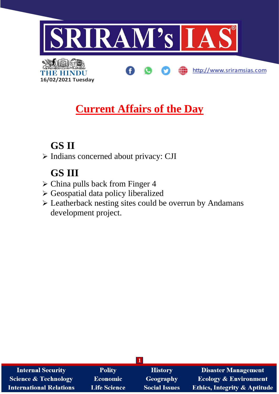

ŒD

http://www.sriramsias.com



**Current Affairs of the Day**

# **GS II**

➢ Indians concerned about privacy: CJI

# **GS III**

- ➢ China pulls back from Finger 4
- ➢ Geospatial data policy liberalized
- ➢ Leatherback nesting sites could be overrun by Andamans development project.

| <b>Internal Security</b>        | <b>Polity</b>       | <b>History</b>       | <b>Disaster Management</b>              |
|---------------------------------|---------------------|----------------------|-----------------------------------------|
| <b>Science &amp; Technology</b> | <b>Economic</b>     | <b>Geography</b>     | <b>Ecology &amp; Environment</b>        |
| <b>International Relations</b>  | <b>Life Science</b> | <b>Social Issues</b> | <b>Ethics, Integrity &amp; Aptitude</b> |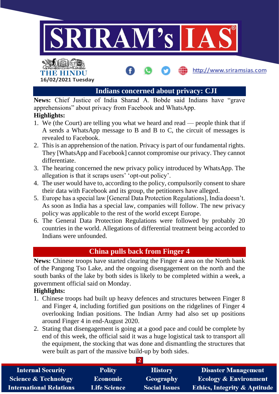

# THE HINDU **16/02/2021 Tuesday**

## **Indians concerned about privacy: CJI**

http://www.sriramsias.com

**News:** Chief Justice of India Sharad A. Bobde said Indians have "grave apprehensions" about privacy from Facebook and WhatsApp.

### **Highlights:**

- 1. We (the Court) are telling you what we heard and read people think that if A sends a WhatsApp message to B and B to C, the circuit of messages is revealed to Facebook.
- 2. This is an apprehension of the nation. Privacy is part of our fundamental rights. They [WhatsApp and Facebook] cannot compromise our privacy. They cannot differentiate.
- 3. The hearing concerned the new privacy policy introduced by WhatsApp. The allegation is that it scraps users' 'opt-out policy'.
- 4. The user would have to, according to the policy, compulsorily consent to share their data with Facebook and its group, the petitioners have alleged.
- 5. Europe has a special law [General Data Protection Regulations], India doesn't. As soon as India has a special law, companies will follow. The new privacy policy was applicable to the rest of the world except Europe.
- 6. The General Data Protection Regulations were followed by probably 20 countries in the world. Allegations of differential treatment being accorded to Indians were unfounded.

## **China pulls back from Finger 4**

**News:** Chinese troops have started clearing the Finger 4 area on the North bank of the Pangong Tso Lake, and the ongoing disengagement on the north and the south banks of the lake by both sides is likely to be completed within a week, a government official said on Monday.

## **Highlights:**

- 1. Chinese troops had built up heavy defences and structures between Finger 8 and Finger 4, including fortified gun positions on the ridgelines of Finger 4 overlooking Indian positions. The Indian Army had also set up positions around Finger 4 in end-August 2020.
- 2. Stating that disengagement is going at a good pace and could be complete by end of this week, the official said it was a huge logistical task to transport all the equipment, the stocking that was done and dismantling the structures that were built as part of the massive build-up by both sides.

| <b>Internal Security</b>        | <b>Polity</b>       | <b>History</b>       | <b>Disaster Management</b>              |
|---------------------------------|---------------------|----------------------|-----------------------------------------|
| <b>Science &amp; Technology</b> | <b>Economic</b>     | Geography            | <b>Ecology &amp; Environment</b>        |
| <b>International Relations</b>  | <b>Life Science</b> | <b>Social Issues</b> | <b>Ethics, Integrity &amp; Aptitude</b> |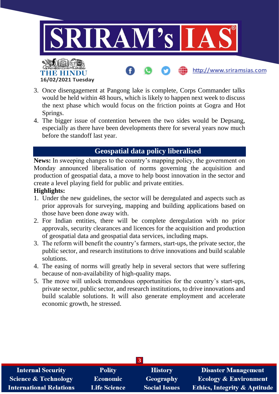

- 3. Once disengagement at Pangong lake is complete, Corps Commander talks would be held within 48 hours, which is likely to happen next week to discuss the next phase which would focus on the friction points at Gogra and Hot Springs.
- 4. The bigger issue of contention between the two sides would be Depsang, especially as there have been developments there for several years now much before the standoff last year.

## **Geospatial data policy liberalised**

**News:** In sweeping changes to the country's mapping policy, the government on Monday announced liberalisation of norms governing the acquisition and production of geospatial data, a move to help boost innovation in the sector and create a level playing field for public and private entities.

### **Highlights:**

**16/02/2021 Tuesday**

- 1. Under the new guidelines, the sector will be deregulated and aspects such as prior approvals for surveying, mapping and building applications based on those have been done away with.
- 2. For Indian entities, there will be complete deregulation with no prior approvals, security clearances and licences for the acquisition and production of geospatial data and geospatial data services, including maps.
- 3. The reform will benefit the country's farmers, start-ups, the private sector, the public sector, and research institutions to drive innovations and build scalable solutions.
- 4. The easing of norms will greatly help in several sectors that were suffering because of non-availability of high-quality maps.
- 5. The move will unlock tremendous opportunities for the country's start-ups, private sector, public sector, and research institutions, to drive innovations and build scalable solutions. It will also generate employment and accelerate economic growth, he stressed.

| $\overline{3}$                  |                     |                      |                                         |
|---------------------------------|---------------------|----------------------|-----------------------------------------|
| <b>Internal Security</b>        | <b>Polity</b>       | <b>History</b>       | <b>Disaster Management</b>              |
| <b>Science &amp; Technology</b> | Economic            | <b>Geography</b>     | <b>Ecology &amp; Environment</b>        |
| <b>International Relations</b>  | <b>Life Science</b> | <b>Social Issues</b> | <b>Ethics, Integrity &amp; Aptitude</b> |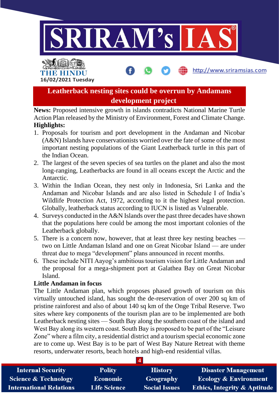

http://www.sriramsias.com

THE HINDL **16/02/2021 Tuesday**

> **Leatherback nesting sites could be overrun by Andamans development project**

**News:** Proposed intensive growth in islands contradicts National Marine Turtle Action Plan released by the Ministry of Environment, Forest and Climate Change. **Highlights:**

- 1. Proposals for tourism and port development in the Andaman and Nicobar (A&N) Islands have conservationists worried over the fate of some of the most important nesting populations of the Giant Leatherback turtle in this part of the Indian Ocean.
- 2. The largest of the seven species of sea turtles on the planet and also the most long-ranging, Leatherbacks are found in all oceans except the Arctic and the Antarctic.
- 3. Within the Indian Ocean, they nest only in Indonesia, Sri Lanka and the Andaman and Nicobar Islands and are also listed in Schedule I of India's Wildlife Protection Act, 1972, according to it the highest legal protection. Globally, leatherback status according to IUCN is listed as Vulnerable.
- 4. Surveys conducted in the A&N Islands over the past three decades have shown that the populations here could be among the most important colonies of the Leatherback globally.
- 5. There is a concern now, however, that at least three key nesting beaches two on Little Andaman Island and one on Great Nicobar Island — are under threat due to mega "development" plans announced in recent months.
- 6. These include NITI Aayog's ambitious tourism vision for Little Andaman and the proposal for a mega-shipment port at Galathea Bay on Great Nicobar Island.

## **Little Andaman in focus**

The Little Andaman plan, which proposes phased growth of tourism on this virtually untouched island, has sought the de-reservation of over 200 sq km of pristine rainforest and also of about 140 sq km of the Onge Tribal Reserve. Two sites where key components of the tourism plan are to be implemented are both Leatherback nesting sites — South Bay along the southern coast of the island and West Bay along its western coast. South Bay is proposed to be part of the "Leisure Zone" where a film city, a residential district and a tourism special economic zone are to come up. West Bay is to be part of West Bay Nature Retreat with theme resorts, underwater resorts, beach hotels and high-end residential villas.

| <b>Internal Security</b>        | <b>Polity</b>       | <b>History</b>       | <b>Disaster Management</b>              |
|---------------------------------|---------------------|----------------------|-----------------------------------------|
| <b>Science &amp; Technology</b> | <b>Economic</b>     | Geography            | <b>Ecology &amp; Environment</b>        |
| <b>International Relations</b>  | <b>Life Science</b> | <b>Social Issues</b> | <b>Ethics, Integrity &amp; Aptitude</b> |